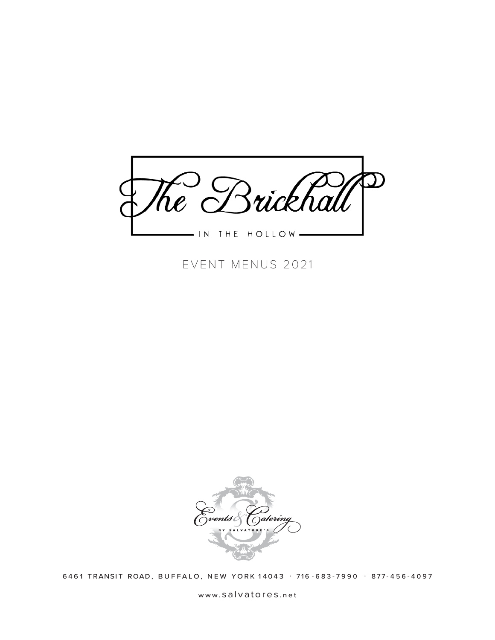

EVENT MENUS 2021



6461 TRANSIT ROAD, BUFFALO, NEW YORK 14043 · 716-683-7990 · 877-456-4097

www. salvatores .net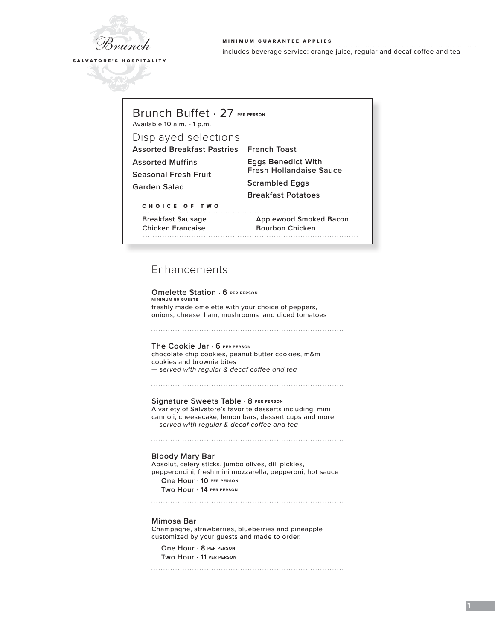

## MINIMUM GUARANTEE APPLIES includes beverage service: orange juice, regular and decaf coffee and tea

**1**

## Brunch Buffet . 27 **PER PERSON**

Available 10 a.m. - 1 p.m.

## Displayed selections

**Assorted Breakfast Pastries French Toast**

**Assorted Muffins**

**Seasonal Fresh Fruit**

**Garden Salad**

**Eggs Benedict With Fresh Hollandaise Sauce Scrambled Eggs Breakfast Potatoes**

CHOICE OF TWO

**Breakfast Sausage Applewood Smoked Bacon**

**Chicken Francaise Bourbon Chicken**

# 

# Enhancements

**Omelette Station** . **6 PER PERSON MINIMUM 50 GUESTS** freshly made omelette with your choice of peppers, onions, cheese, ham, mushrooms and diced tomatoes 

**The Cookie Jar** . **6 PER PERSON**  chocolate chip cookies, peanut butter cookies, m&m cookies and brownie bites — s*erved with regular & decaf coffee and tea*

**Signature Sweets Table** . **8 PER PERSON** A variety of Salvatore's favorite desserts including, mini cannoli, cheesecake, lemon bars, dessert cups and more *— served with regular & decaf coffee and tea*

#### **Bloody Mary Bar**

Absolut, celery sticks, jumbo olives, dill pickles, pepperoncini, fresh mini mozzarella, pepperoni, hot sauce **One Hour** . **10 PER PERSON Two Hour** . **14 PER PERSON**

#### **Mimosa Bar**

Champagne, strawberries, blueberries and pineapple customized by your guests and made to order.

**One Hour** . **8 PER PERSON Two Hour** . **11 PER PERSON**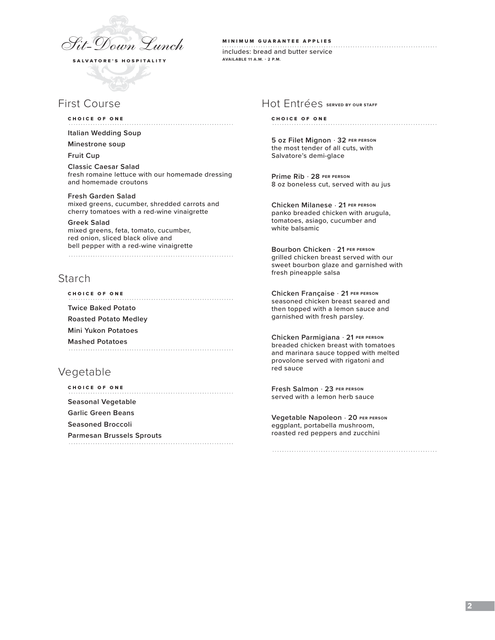

# First Course

#### CHOICE OF ONE

**Italian Wedding Soup** 

#### **Minestrone soup**

**Fruit Cup**

**Classic Caesar Salad** fresh romaine lettuce with our homemade dressing and homemade croutons

### **Fresh Garden Salad**

mixed greens, cucumber, shredded carrots and cherry tomatoes with a red-wine vinaigrette

**Greek Salad**  mixed greens, feta, tomato, cucumber, red onion, sliced black olive and bell pepper with a red-wine vinaigrette

## Starch

CHOICE OF ONE **Twice Baked Potato Roasted Potato Medley Mini Yukon Potatoes Mashed Potatoes**

# Vegetable

CHOICE OF ONE **Seasonal Vegetable Garlic Green Beans Seasoned Broccoli Parmesan Brussels Sprouts** 

# MINIMUM GUARANTEE APPLIES

includes: bread and butter service **AVAILABLE 11 A.M. - 2 P.M.**

## Hot Entrées **SERVED BY OUR STAFF**

#### CHOICE OF ONE

**5 oz Filet Mignon** . **32 PER PERSON** the most tender of all cuts, with Salvatore's demi-glace

**Prime Rib** . **28 PER PERSON** 8 oz boneless cut, served with au jus

**Chicken Milanese** . **21 PER PERSON** panko breaded chicken with arugula, tomatoes, asiago, cucumber and white balsamic

**Bourbon Chicken** . **21 PER PERSON** grilled chicken breast served with our sweet bourbon glaze and garnished with fresh pineapple salsa

**Chicken Française** . **21 PER PERSON** seasoned chicken breast seared and then topped with a lemon sauce and garnished with fresh parsley.

**Chicken Parmigiana** . **21 PER PERSON** breaded chicken breast with tomatoes and marinara sauce topped with melted provolone served with rigatoni and red sauce

**Fresh Salmon** . **23 PER PERSON** served with a lemon herb sauce

**Vegetable Napoleon** . **20 PER PERSON** eggplant, portabella mushroom, roasted red peppers and zucchini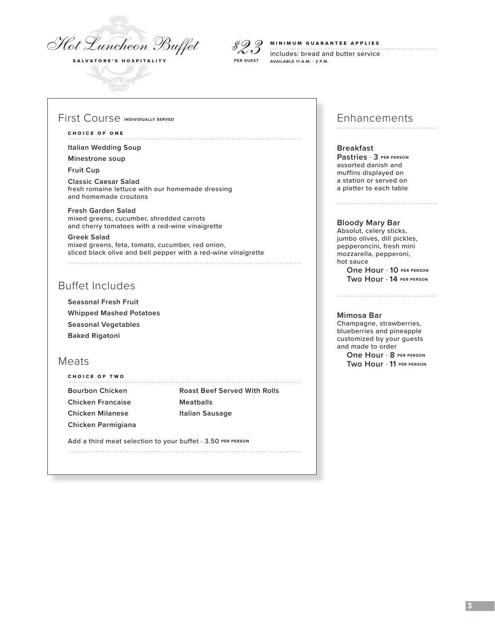

*\$23* **PER GUEST**

#### MINIMUM GUARANTEE APPLIES

includes: bread and butter service **AVAILABLE 11 A.M. - 2 P.M.**

## First Course **INDIVIDUALLY SERVED**

#### CHOICE OF ONE

**Italian Wedding Soup** 

**Minestrone soup**

**Fruit Cup**

**Classic Caesar Salad** fresh romaine lettuce with our homemade dressing and homemade croutons

**Fresh Garden Salad**  mixed greens, cucumber, shredded carrots and cherry tomatoes with a red-wine vinaigrette

**Greek Salad**  mixed greens, feta, tomato, cucumber, red onion, sliced black olive and bell pepper with a red-wine vinaigrette 

# Buffet Includes

**Seasonal Fresh Fruit Whipped Mashed Potatoes Seasonal Vegetables Baked Rigatoni**

## Meats

CHOICE OF TWO **Bourbon Chicken Roast Beef Served With Rolls Chicken Francaise Meatballs Chicken Milanese Italian Sausage Chicken Parmigiana**

Add a third meat selection to your buffet  $\cdot$  3.50 PER PERSON

# Enhancements

**Breakfast Pastries** . **3 PER PERSON** assorted danish and muffins displayed on a station or served on a platter to each table

#### **Bloody Mary Bar**

Absolut, celery sticks, jumbo olives, dill pickles, pepperoncini, fresh mini mozzarella, pepperoni, hot sauce **One Hour** . **10 PER PERSON**

**Two Hour** . **14 PER PERSON**

## **Mimosa Bar**

Champagne, strawberries, blueberries and pineapple customized by your guests and made to order **One Hour** . **8 PER PERSON**

**Two Hour** . **11 PER PERSON**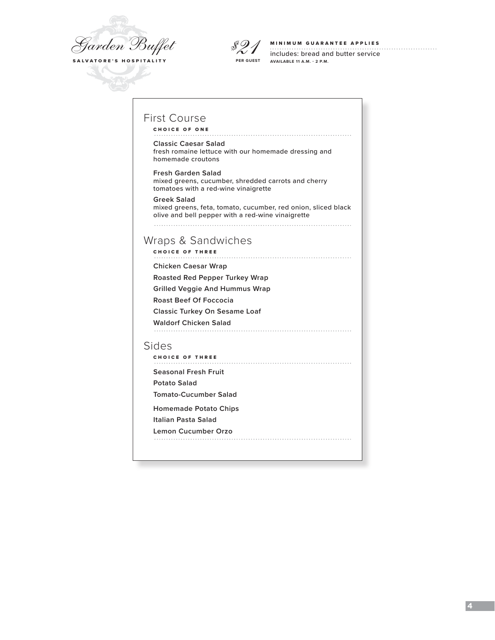



#### MINIMUM GUARANTEE APPLIES

includes: bread and butter service **AVAILABLE 11 A.M. - 2 P.M.**

# First Course

CHOICE OF ONE

#### **Classic Caesar Salad**

fresh romaine lettuce with our homemade dressing and homemade croutons

**Fresh Garden Salad**  mixed greens, cucumber, shredded carrots and cherry tomatoes with a red-wine vinaigrette

**Greek Salad**  mixed greens, feta, tomato, cucumber, red onion, sliced black olive and bell pepper with a red-wine vinaigrette 

## Wraps & Sandwiches

CHOICE OF THREE

**Chicken Caesar Wrap** 

**Roasted Red Pepper Turkey Wrap** 

**Grilled Veggie And Hummus Wrap** 

**Roast Beef Of Foccocia**

**Classic Turkey On Sesame Loaf**

**Waldorf Chicken Salad**

#### Sides

CHOICE OF THREE

**Seasonal Fresh Fruit** 

**Potato Salad** 

**Tomato-Cucumber Salad** 

**Homemade Potato Chips** 

**Italian Pasta Salad** 

**Lemon Cucumber Orzo**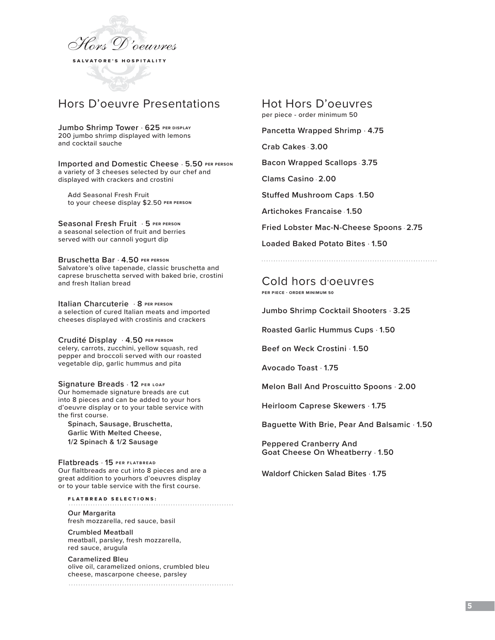

# Hors D'oeuvre Presentations

**Jumbo Shrimp Tower** . **625 PER DISPLAY**

200 jumbo shrimp displayed with lemons and cocktail sauche

**Imported and Domestic Cheese** . **5.50 PER PERSON** a variety of 3 cheeses selected by our chef and displayed with crackers and crostini

 Add Seasonal Fresh Fruit to your cheese display \$2.50 **PER PERSON**

**Seasonal Fresh Fruit** . **5 PER PERSON** a seasonal selection of fruit and berries served with our cannoli yogurt dip

**Bruschetta Bar** . **4.50 PER PERSON** Salvatore's olive tapenade, classic bruschetta and caprese bruschetta served with baked brie, crostini and fresh Italian bread

**Italian Charcuterie** . **8 PER PERSON** a selection of cured Italian meats and imported cheeses displayed with crostinis and crackers

**Crudité Display** . **4.50 PER PERSON** celery, carrots, zucchini, yellow squash, red pepper and broccoli served with our roasted vegetable dip, garlic hummus and pita

**Signature Breads** . **12 PER LOAF** Our homemade signature breads are cut into 8 pieces and can be added to your hors d'oeuvre display or to your table service with the first course.

**Spinach, Sausage, Bruschetta, Garlic With Melted Cheese, 1/2 Spinach & 1/2 Sausage**

**Flatbreads** . **15 PER FLATBREAD** Our flaltbreads are cut into 8 pieces and are a great addition to yourhors d'oeuvres display or to your table service with the first course.

FLATBREAD SELECTIONS:

**Our Margarita**  fresh mozzarella, red sauce, basil

**Crumbled Meatball**  meatball, parsley, fresh mozzarella, red sauce, arugula

**Caramelized Bleu** olive oil, caramelized onions, crumbled bleu cheese, mascarpone cheese, parsley

Hot Hors D'oeuvres per piece - order minimum 50

**Pancetta Wrapped Shrimp** . **4.75**

**Crab Cakes** . **3.00** 

**Bacon Wrapped Scallops** . **3.75**

**Clams Casino** . **2.00**

**Stuffed Mushroom Caps** . **1.50**

**Artichokes Francaise** . **1.50**

**Fried Lobster Mac-N-Cheese Spoons** . **2.75**

**Loaded Baked Potato Bites** . **1.50**

Cold hors d'oeuvres **PER PIECE - ORDER MINIMUM 50**

**Jumbo Shrimp Cocktail Shooters** . **3.25**

**Roasted Garlic Hummus Cups** . **1.50**

**Beef on Weck Crostini** . **1.50**

**Avocado Toast** . **1.75**

**Melon Ball And Proscuitto Spoons** . **2.00**

**Heirloom Caprese Skewers** . **1.75**

**Baguette With Brie, Pear And Balsamic** . **1.50**

**Peppered Cranberry And Goat Cheese On Wheatberry** . **1.50**

**Waldorf Chicken Salad Bites** . **1.75**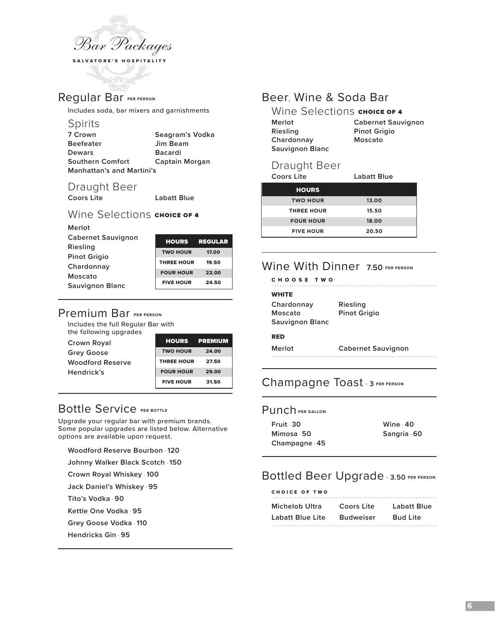

# Regular Bar **PER PERSON**

Includes soda, bar mixers and garnishments

## Spirits

| 7 Crown                          | Seagram's Vodka |
|----------------------------------|-----------------|
| <b>Beefeater</b>                 | Jim Beam        |
| <b>Dewars</b>                    | <b>Bacardi</b>  |
| <b>Southern Comfort</b>          | Captain Morgan  |
| <b>Manhattan's and Martini's</b> |                 |

# Draught Beer<br>Coors Lite

**Coors Lite Labatt Blue** 

## Wine Selections CHOICE OF 4

| Merlot                    |                   |                |
|---------------------------|-------------------|----------------|
| <b>Cabernet Sauvignon</b> | <b>HOURS</b>      | <b>REGULAR</b> |
| Riesling                  |                   |                |
|                           | <b>TWO HOUR</b>   | 17.00          |
| <b>Pinot Grigio</b>       | <b>THREE HOUR</b> | 19.50          |
| Chardonnay                |                   |                |
| Moscato                   | <b>FOUR HOUR</b>  | 22.00          |
|                           | <b>FIVE HOUR</b>  | 24.50          |
| <b>Sauvignon Blanc</b>    |                   |                |

# Premium Bar **PER PERSON**

Includes the full Regular Bar with the following upgrades

| Crown Royal             | HOURS             | <b>PREMIUM</b> |
|-------------------------|-------------------|----------------|
| <b>Grey Goose</b>       | <b>TWO HOUR</b>   | 24.00          |
| <b>Woodford Reserve</b> | <b>THREE HOUR</b> | 27.50          |
| Hendrick's              | <b>FOUR HOUR</b>  | 29.00          |
|                         | <b>FIVE HOUR</b>  | 31.50          |

# Bottle Service **PER BOTTLE**

Upgrade your regular bar with premium brands. Some popular upgrades are listed below. Alternative options are available upon request.

**Woodford Reserve Bourbon** . **120**

**Johnny Walker Black Scotch** . **150**

**Crown Royal Whiskey** . **100**

**Jack Daniel's Whiskey** . **95**

**Tito's Vodka** . **90**

**Kettle One Vodka** . **95**

**Grey Goose Vodka** . **110**

**Hendricks Gin** . **95**

# Beer, Wine & Soda Bar

| Wine Selections CHOICE OF 4 |                           |
|-----------------------------|---------------------------|
| Merlot                      | <b>Cabernet Sauvignon</b> |
| Riesling                    | <b>Pinot Grigio</b>       |
| Chardonnay                  | Moscato                   |
| <b>Sauvignon Blanc</b>      |                           |

# Draught Beer

| Coors Lite        | Labatt Blue |  |
|-------------------|-------------|--|
| <b>HOURS</b>      |             |  |
| <b>TWO HOUR</b>   | 13.00       |  |
| <b>THREE HOUR</b> | 15.50       |  |
| <b>FOUR HOUR</b>  | 18.00       |  |
| <b>FIVE HOUR</b>  | 20.50       |  |

# Wine With Dinner 7.50 PER PERSON

| CHOOSE TWO                                      |                                 |
|-------------------------------------------------|---------------------------------|
| <b>WHITE</b>                                    |                                 |
| Chardonnay<br>Moscato<br><b>Sauvignon Blanc</b> | Riesling<br><b>Pinot Grigio</b> |
| <b>RED</b>                                      |                                 |
| $M$ $\alpha$ rl $\alpha$ t                      | Caharnat Sauvianon              |

# **Merlot Cabernet Sauvignon**

# Champagne Toast . **<sup>3</sup> PER PERSON**

## Punch **PER GALLON**

| Fruit 30     | Wine $-40$ |
|--------------|------------|
| Mimosa 50    | Sangria 60 |
| Champagne 45 |            |

# Bottled Beer Upgrade . **3.50 PER PERSON**

| CHOICE OF TWO    |                  |                 |
|------------------|------------------|-----------------|
| Michelob Ultra   | Coors Lite       | Labatt Blue     |
| Labatt Blue Lite | <b>Budweiser</b> | <b>Bud Lite</b> |
|                  |                  |                 |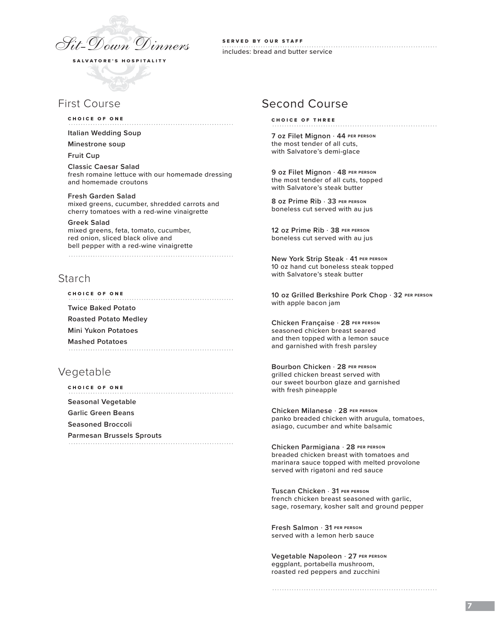

SERVED BY OUR STAFF includes: bread and butter service

## First Course

CHOICE OF ONE

**Italian Wedding Soup** 

**Minestrone soup**

**Fruit Cup**

**Classic Caesar Salad** fresh romaine lettuce with our homemade dressing and homemade croutons

**Fresh Garden Salad**  mixed greens, cucumber, shredded carrots and cherry tomatoes with a red-wine vinaigrette

**Greek Salad**  mixed greens, feta, tomato, cucumber, red onion, sliced black olive and bell pepper with a red-wine vinaigrette

## Starch

CHOICE OF ONE **Twice Baked Potato Roasted Potato Medley Mini Yukon Potatoes Mashed Potatoes**

## Vegetable

| CHOICE OF ONE             |
|---------------------------|
| Seasonal Vegetable        |
| Garlic Green Beans        |
| Seasoned Broccoli         |
| Parmesan Brussels Sprouts |
|                           |

## Second Course

CHOICE OF THREE

**7 oz Filet Mignon** . **44 PER PERSON** the most tender of all cuts, with Salvatore's demi-glace

**9 oz Filet Mignon** . **48 PER PERSON** the most tender of all cuts, topped with Salvatore's steak butter

**8 oz Prime Rib** . **33 PER PERSON** boneless cut served with au jus

**12 oz Prime Rib** . **38 PER PERSON** boneless cut served with au jus

**New York Strip Steak** . **41 PER PERSON** 10 oz hand cut boneless steak topped with Salvatore's steak butter

**10 oz Grilled Berkshire Pork Chop** . **32 PER PERSON** with apple bacon jam

**Chicken Française** . **28 PER PERSON** seasoned chicken breast seared and then topped with a lemon sauce and garnished with fresh parsley

**Bourbon Chicken** . **28 PER PERSON** grilled chicken breast served with our sweet bourbon glaze and garnished with fresh pineapple

**Chicken Milanese** . **28 PER PERSON** panko breaded chicken with arugula, tomatoes, asiago, cucumber and white balsamic

**Chicken Parmigiana** . **28 PER PERSON** breaded chicken breast with tomatoes and marinara sauce topped with melted provolone served with rigatoni and red sauce

**Tuscan Chicken** . **31 PER PERSON** french chicken breast seasoned with garlic, sage, rosemary, kosher salt and ground pepper

**Fresh Salmon** . **31 PER PERSON** served with a lemon herb sauce

**Vegetable Napoleon** . **27 PER PERSON** eggplant, portabella mushroom, roasted red peppers and zucchini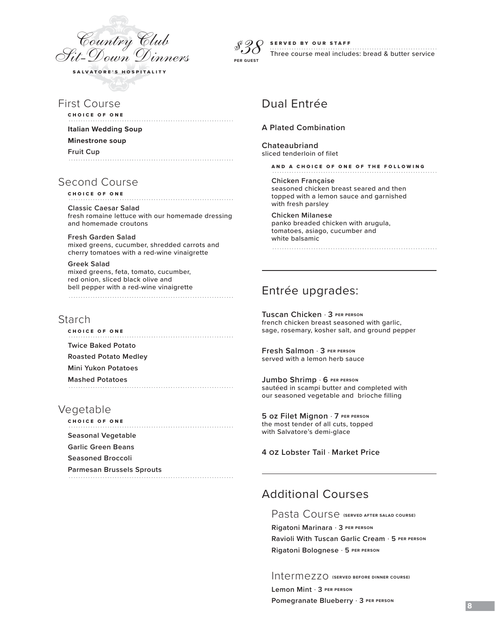

*\$38*  **PER GUEST**

#### SERVED BY OUR STAFF

. . . . . . . . . . . . . Three course meal includes: bread & butter service

# Dual Entrée

#### **A Plated Combination**

**Chateaubriand** sliced tenderloin of filet

AND A CHOICE OF ONE OF THE FOLLOWING

**Chicken Française** seasoned chicken breast seared and then topped with a lemon sauce and garnished with fresh parsley

**Chicken Milanese**  panko breaded chicken with arugula, tomatoes, asiago, cucumber and white balsamic

## Entrée upgrades:

**Tuscan Chicken** . **3 PER PERSON** french chicken breast seasoned with garlic, sage, rosemary, kosher salt, and ground pepper

**Fresh Salmon** . **3 PER PERSON** served with a lemon herb sauce

**Jumbo Shrimp** . **6 PER PERSON** sautéed in scampi butter and completed with our seasoned vegetable and brioche filling

**5 oz Filet Mignon** . **7 PER PERSON** the most tender of all cuts, topped with Salvatore's demi-glace

**4 oz Lobster Tail** . **Market Price**

# Additional Courses

Pasta Course **(SERVED AFTER SALAD COURSE)**

**Rigatoni Marinara** . **3 PER PERSON Ravioli With Tuscan Garlic Cream** . **5 PER PERSON**

**Rigatoni Bolognese** . **5 PER PERSON**

Intermezzo **(SERVED BEFORE DINNER COURSE)**

**Lemon Mint** . **3 PER PERSON Pomegranate Blueberry** . **3 PER PERSON**

First Course

CHOICE OF ONE

**Italian Wedding Soup** 

**Minestrone soup**

**Fruit Cup**

Second Course

CHOICE OF ONE

**Classic Caesar Salad** fresh romaine lettuce with our homemade dressing and homemade croutons

**Fresh Garden Salad**  mixed greens, cucumber, shredded carrots and cherry tomatoes with a red-wine vinaigrette

**Greek Salad**  mixed greens, feta, tomato, cucumber, red onion, sliced black olive and bell pepper with a red-wine vinaigrette 

## Starch

CHOICE OF ONE

**Twice Baked Potato**

**Roasted Potato Medley**

**Mini Yukon Potatoes**

**Mashed Potatoes**

## Vegetable

CHOICE OF ONE **Seasonal Vegetable Garlic Green Beans Seasoned Broccoli Parmesan Brussels Sprouts**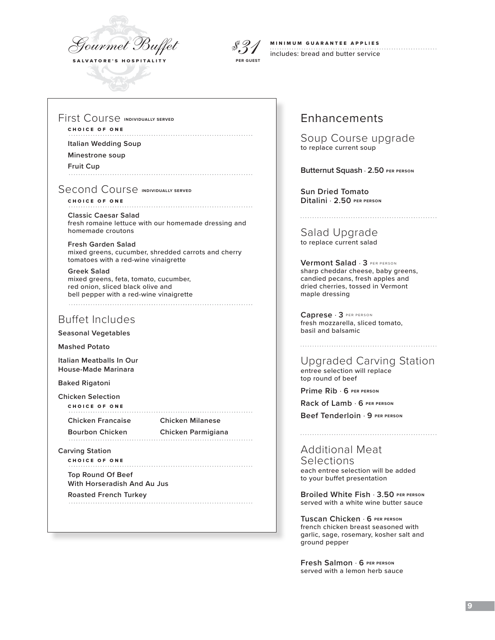



#### MINIMUM GUARANTEE APPLIES includes: bread and butter service

First Course **INDIVIDUALLY SERVED**

## CHOICE OF ONE

**Italian Wedding Soup** 

**Minestrone soup**

**Fruit Cup**

Second Course **INDIVIDUALLY SERVED** 

CHOICE OF ONE **Classic Caesar Salad** fresh romaine lettuce with our homemade dressing and homemade croutons

**Fresh Garden Salad**  mixed greens, cucumber, shredded carrots and cherry tomatoes with a red-wine vinaigrette

**Greek Salad**  mixed greens, feta, tomato, cucumber, red onion, sliced black olive and bell pepper with a red-wine vinaigrette 

## Buffet Includes

**Seasonal Vegetables**

**Mashed Potato**

**Italian Meatballs In Our House-Made Marinara**

**Baked Rigatoni**

**Chicken Selection** CHOICE OF ONE

**Chicken Francaise Chicken Milanese**

**Bourbon Chicken Chicken Parmigiana**

**Carving Station**

CHOICE OF ONE

**Top Round Of Beef With Horseradish And Au Jus**

**Roasted French Turkey**

# Enhancements

Soup Course upgrade to replace current soup

**Butternut Squash** . **2.50 PER PERSON** 

**Sun Dried Tomato Ditalini** . **2.50 PER PERSON**

Salad Upgrade to replace current salad

**Vermont Salad** . **3** PER PERSON sharp cheddar cheese, baby greens, candied pecans, fresh apples and dried cherries, tossed in Vermont maple dressing

**Caprese** . **3** PER PERSON fresh mozzarella, sliced tomato, basil and balsamic

Upgraded Carving Station entree selection will replace

top round of beef

**Prime Rib** . **6 PER PERSON**

**Rack of Lamb** . **6 PER PERSON**

**Beef Tenderloin** . **9 PER PERSON**

Additional Meat Selections each entree selection will be added to your buffet presentation

**Broiled White Fish** . **3.50 PER PERSON** served with a white wine butter sauce

**Tuscan Chicken** . **6 PER PERSON** french chicken breast seasoned with garlic, sage, rosemary, kosher salt and ground pepper

**Fresh Salmon** . **6 PER PERSON** served with a lemon herb sauce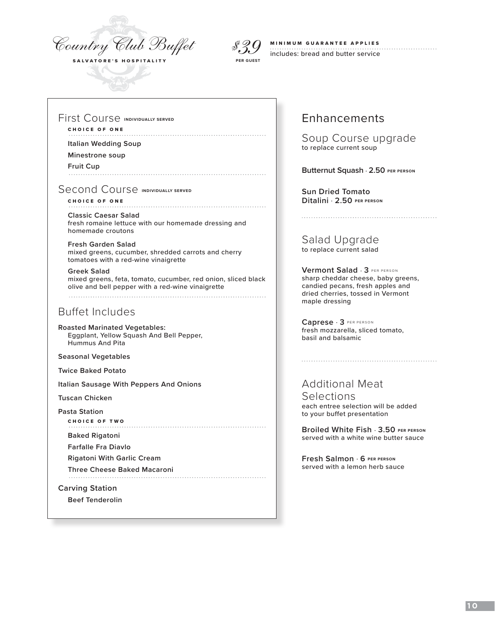



### MINIMUM GUARANTEE APPLIES includes: bread and butter service

## First Course **INDIVIDUALLY SERVED**

## CHOICE OF ONE

**Italian Wedding Soup** 

**Minestrone soup**

**Fruit Cup**

Second Course **INDIVIDUALLY SERVED** 

CHOICE OF ONE **Classic Caesar Salad** fresh romaine lettuce with our homemade dressing and homemade croutons

**Fresh Garden Salad**  mixed greens, cucumber, shredded carrots and cherry tomatoes with a red-wine vinaigrette

**Greek Salad**  mixed greens, feta, tomato, cucumber, red onion, sliced black olive and bell pepper with a red-wine vinaigrette 

# Buffet Includes

**Roasted Marinated Vegetables:**  Eggplant, Yellow Squash And Bell Pepper, Hummus And Pita

**Seasonal Vegetables**

**Twice Baked Potato**

**Italian Sausage With Peppers And Onions**

**Tuscan Chicken**

**Pasta Station**

CHOICE OF TWO

**Baked Rigatoni** 

**Farfalle Fra Diavlo**

**Rigatoni With Garlic Cream**

**Three Cheese Baked Macaroni**

**Carving Station** 

**Beef Tenderolin**

# Enhancements

Soup Course upgrade to replace current soup

**Butternut Squash** . **2.50 PER PERSON** 

**Sun Dried Tomato Ditalini** . **2.50 PER PERSON**

Salad Upgrade to replace current salad

**Vermont Salad** . **3** PER PERSON sharp cheddar cheese, baby greens, candied pecans, fresh apples and dried cherries, tossed in Vermont maple dressing

**Caprese** . **3** PER PERSON fresh mozzarella, sliced tomato, basil and balsamic

## Additional Meat Selections each entree selection will be added to your buffet presentation

**Broiled White Fish** . **3.50 PER PERSON** served with a white wine butter sauce

**Fresh Salmon** . **6 PER PERSON** served with a lemon herb sauce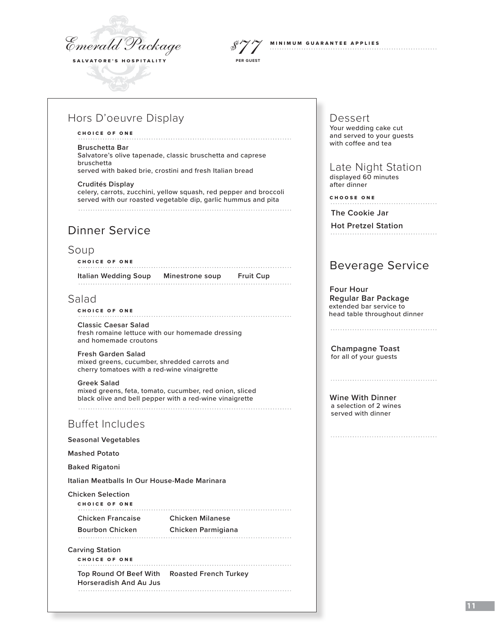

**PER GUEST**



# Hors D'oeuvre Display

### CHOICE OF ONE

#### **Bruschetta Bar**

Salvatore's olive tapenade, classic bruschetta and caprese bruschetta served with baked brie, crostini and fresh Italian bread

#### **Crudités Display**

celery, carrots, zucchini, yellow squash, red pepper and broccoli served with our roasted vegetable dip, garlic hummus and pita

# Dinner Service

## Soup

CHOICE OF ONE **Italian Wedding Soup Minestrone soup Fruit Cup**

## Salad

### CHOICE OF ONE

**Classic Caesar Salad** fresh romaine lettuce with our homemade dressing and homemade croutons

**Fresh Garden Salad**  mixed greens, cucumber, shredded carrots and cherry tomatoes with a red-wine vinaigrette

**Greek Salad**  mixed greens, feta, tomato, cucumber, red onion, sliced black olive and bell pepper with a red-wine vinaigrette

# Buffet Includes

**Seasonal Vegetables**

**Mashed Potato** 

**Baked Rigatoni**

**Italian Meatballs In Our House-Made Marinara**

**Chicken Selection**

CHOICE OF ONE 

**Chicken Francaise Chicken Milanese**

**Bourbon Chicken Chicken Parmigiana**

**Carving Station**

CHOICE OF ONE

**Top Round Of Beef With Roasted French Turkey Horseradish And Au Jus**

Dessert Your wedding cake cut and served to your guests with coffee and tea

 Late Night Stationdisplayed 60 minutes

after dinner

CHOOSE ONE

**The Cookie Jar**

**Hot Pretzel Station** 

# Beverage Service

 **Four Hour Regular Bar Package** extended bar service to head table throughout dinner

**Champagne Toast**

for all of your guests

**Wine With Dinner** a selection of 2 wines served with dinner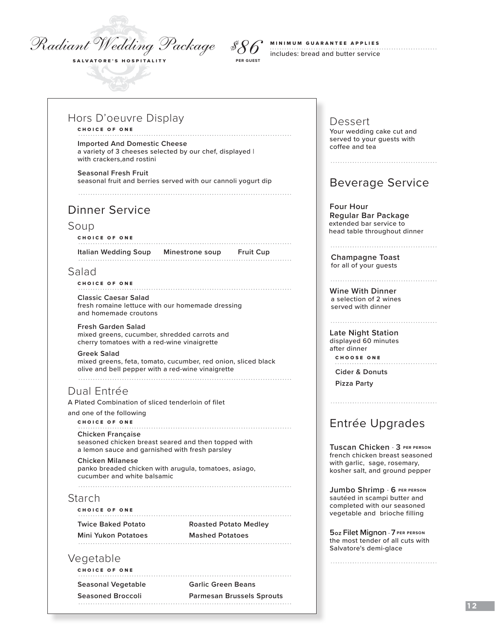# *Radiant Wedding Package \$86*

SALVATORE'S HOSPITALITY

# MINIMUM GUARANTEE APPLIES

includes: bread and butter service **PER GUEST**

## Hors D'oeuvre Display

## CHOICE OF ONE

**Imported And Domestic Cheese** a variety of 3 cheeses selected by our chef, displayed | with crackers,and rostini

**Seasonal Fresh Fruit** seasonal fruit and berries served with our cannoli yogurt dip

# Dinner Service

## Soup

CHOICE OF ONE

**Italian Wedding Soup Minestrone soup Fruit Cup**

## Salad

#### CHOICE OF ONE

**Classic Caesar Salad** fresh romaine lettuce with our homemade dressing and homemade croutons

**Fresh Garden Salad**  mixed greens, cucumber, shredded carrots and cherry tomatoes with a red-wine vinaigrette

## **Greek Salad**

mixed greens, feta, tomato, cucumber, red onion, sliced black olive and bell pepper with a red-wine vinaigrette 

# Dual Entrée

A Plated Combination of sliced tenderloin of filet

and one of the following

#### CHOICE OF ONE

#### **Chicken Française**

 seasoned chicken breast seared and then topped with a lemon sauce and garnished with fresh parsley

**Chicken Milanese**  panko breaded chicken with arugula, tomatoes, asiago, cucumber and white balsamic 

## Starch

CHOICE OF ONE

**Twice Baked Potato Roasted Potato Medley**

**Mini Yukon Potatoes Mashed Potatoes**

## Vegetable

CHOICE OF ONE

**Seasonal Vegetable Garlic Green Beans**

**Seasoned Broccoli Parmesan Brussels Sprouts**

Dessert Your wedding cake cut and served to your guests with coffee and tea

# Beverage Service

 **Four Hour Regular Bar Package** extended bar service to head table throughout dinner

**Champagne Toast** for all of your guests

**Wine With Dinner** a selection of 2 wines served with dinner

**Late Night Station** displayed 60 minutes after dinner CHOOSE ONE

**Cider & Donuts Pizza Party**

# Entrée Upgrades

**Tuscan Chicken** . **3 PER PERSON** french chicken breast seasoned with garlic, sage, rosemary, kosher salt, and ground pepper

**Jumbo Shrimp** . **6 PER PERSON** sautéed in scampi butter and completed with our seasoned vegetable and brioche filling

**5 oz Filet Mignon** . **7 PER PERSON** the most tender of all cuts with Salvatore's demi-glace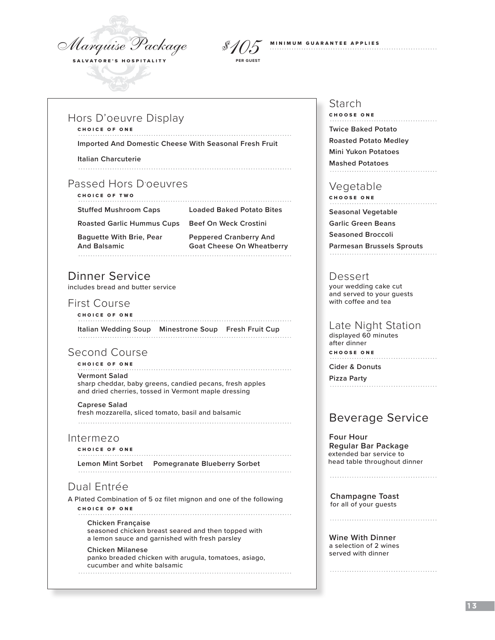

# MINIMUM GUARANTEE APPLIES *\$105***PER GUEST**

## Hors D'oeuvre Display

#### CHOICE OF ONE

**Imported And Domestic Cheese With Seasonal Fresh Fruit**

**Italian Charcuterie**

# Passed Hors D'oeuvres

CHOICE OF TWO

**Stuffed Mushroom Caps Loaded Baked Potato Bites**

**Roasted Garlic Hummus Cups Beef On Weck Crostini**

**Baguette With Brie, Pear Peppered Cranberry And**

**And Balsamic Goat Cheese On Wheatberry** 

# Dinner Service

includes bread and butter service

## First Course

CHOICE OF ONE **Italian Wedding Soup Minestrone Soup Fresh Fruit Cup**

# Second Course

CHOICE OF ONE **Vermont Salad** sharp cheddar, baby greens, candied pecans, fresh apples

and dried cherries, tossed in Vermont maple dressing **Caprese Salad** fresh mozzarella, sliced tomato, basil and balsamic

## Intermezo

CHOICE OF ONE **Lemon Mint Sorbet Pomegranate Blueberry Sorbet**

# Dual Entrée

A Plated Combination of 5 oz filet mignon and one of the following CHOICE OF ONE

**Chicken Française** seasoned chicken breast seared and then topped with a lemon sauce and garnished with fresh parsley

## **Chicken Milanese**  panko breaded chicken with arugula, tomatoes, asiago, cucumber and white balsamic

## Starch

CHOOSE ONE **Twice Baked Potato Roasted Potato Medley Mini Yukon Potatoes Mashed Potatoes**

## Vegetable

CHOOSE ONE

**Seasonal Vegetable**

**Garlic Green Beans**

**Seasoned Broccoli**

**Parmesan Brussels Sprouts**

## Dessert

 your wedding cake cut and served to your guests with coffee and tea

## Late Night Station

 displayed 60 minutes after dinner CHOOSE ONE

**Cider & Donuts**

**Pizza Party**

# Beverage Service

 **Four Hour Regular Bar Package** extended bar service to head table throughout dinner

**Champagne Toast** for all of your guests

**Wine With Dinner** a selection of 2 wines served with dinner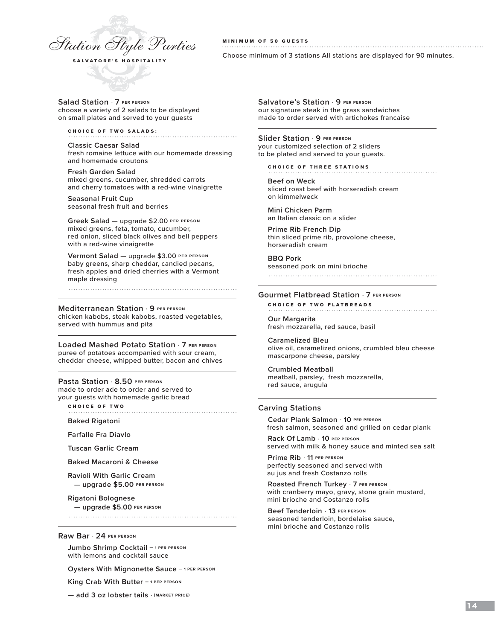

#### MINIMUM OF 50 GUESTS

Choose minimum of 3 stations All stations are displayed for 90 minutes.

**Salad Station** . **7 PER PERSON**  choose a variety of 2 salads to be displayed on small plates and served to your guests

CHOICE OF TWO SALADS:

**Classic Caesar Salad** fresh romaine lettuce with our homemade dressing and homemade croutons

**Fresh Garden Salad** mixed greens, cucumber, shredded carrots and cherry tomatoes with a red-wine vinaigrette

**Seasonal Fruit Cup**  seasonal fresh fruit and berries

**Greek Salad** — upgrade \$2.00 **PER PERSON** mixed greens, feta, tomato, cucumber, red onion, sliced black olives and bell peppers with a red-wine vinaigrette

**Vermont Salad** — upgrade \$3.00 **PER PERSON** baby greens, sharp cheddar, candied pecans, fresh apples and dried cherries with a Vermont maple dressing

#### **Mediterranean Station** . **9 PER PERSON**

chicken kabobs, steak kabobs, roasted vegetables, served with hummus and pita

**Loaded Mashed Potato Station** . **7 PER PERSON** puree of potatoes accompanied with sour cream, cheddar cheese, whipped butter, bacon and chives

#### **Pasta Station** . **8.50 PER PERSON** made to order ade to order and served to your guests with homemade garlic bread

CHOICE OF TWO

**Baked Rigatoni**

**Farfalle Fra Diavlo**

**Tuscan Garlic Cream**

**Baked Macaroni & Cheese**

**Ravioli With Garlic Cream — upgrade \$5.00 PER PERSON**

**Rigatoni Bolognese — upgrade \$5.00 PER PERSON**

**Raw Bar** . **24 PER PERSON**

**Jumbo Shrimp Cocktail — 1 PER PERSON**  with lemons and cocktail sauce

**Oysters With Mignonette Sauce — 1 PER PERSON** 

**King Crab With Butter — 1 PER PERSON** 

**— add 3 oz lobster tails** . **(MARKET PRICE)**

**Salvatore's Station** . **9 PER PERSON** our signature steak in the grass sandwiches made to order served with artichokes francaise

**Slider Station** . **9 PER PERSON** your customized selection of 2 sliders to be plated and served to your guests.

CHOICE OF THREE STATIONS

**Beef on Weck** sliced roast beef with horseradish cream on kimmelweck

**Mini Chicken Parm** an Italian classic on a slider

**Prime Rib French Dip** thin sliced prime rib, provolone cheese, horseradish cream

**BBQ Pork** seasoned pork on mini brioche

#### **Gourmet Flatbread Station** . **7 PER PERSON**

CHOICE OF TWO FLATBREADS

**Our Margarita** fresh mozzarella, red sauce, basil

**Caramelized Bleu** olive oil, caramelized onions, crumbled bleu cheese mascarpone cheese, parsley

**Crumbled Meatball** meatball, parsley, fresh mozzarella, red sauce, arugula

#### **Carving Stations**

**Cedar Plank Salmon** . **10 PER PERSON** fresh salmon, seasoned and grilled on cedar plank

**Rack Of Lamb** . **10 PER PERSON** served with milk & honey sauce and minted sea salt

**Prime Rib** . **11 PER PERSON** perfectly seasoned and served with au jus and fresh Costanzo rolls

**Roasted French Turkey** . **7 PER PERSON** with cranberry mayo, gravy, stone grain mustard, mini brioche and Costanzo rolls

**Beef Tenderloin** . **13 PER PERSON** seasoned tenderloin, bordelaise sauce, mini brioche and Costanzo rolls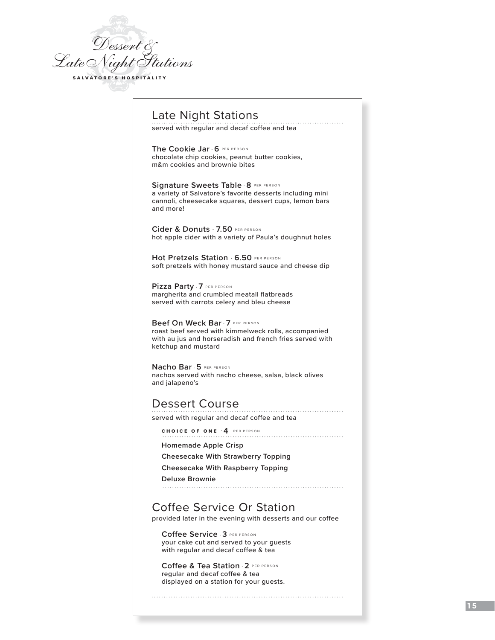

# Late Night Stations

. . . . . . . . . . . . . . . . served with regular and decaf coffee and tea

**The Cookie Jar** . **6** PER PERSON chocolate chip cookies, peanut butter cookies, m&m cookies and brownie bites

**Signature Sweets Table** . **8** PER PERSON a variety of Salvatore's favorite desserts including mini cannoli, cheesecake squares, dessert cups, lemon bars and more!

**Cider & Donuts** . **7.50** PER PERSON hot apple cider with a variety of Paula's doughnut holes

**Hot Pretzels Station** . **6.50** PER PERSON soft pretzels with honey mustard sauce and cheese dip

**Pizza Party** . **7** PER PERSON margherita and crumbled meatall flatbreads served with carrots celery and bleu cheese

**Beef On Weck Bar** . **7** PER PERSON roast beef served with kimmelweck rolls, accompanied with au jus and horseradish and french fries served with ketchup and mustard

**Nacho Bar** . **5** PER PERSON nachos served with nacho cheese, salsa, black olives and jalapeno's

# Dessert Course

served with regular and decaf coffee and tea

CHOICE OF ONE . **4** PER PERSON 

**Homemade Apple Crisp** 

**Cheesecake With Strawberry Topping**

**Cheesecake With Raspberry Topping**

**Deluxe Brownie**

Coffee Service Or Station provided later in the evening with desserts and our coffee

**Coffee Service** . **3** PER PERSON your cake cut and served to your guests with regular and decaf coffee & tea

**Coffee & Tea Station** . **2** PER PERSON regular and decaf coffee & tea displayed on a station for your guests.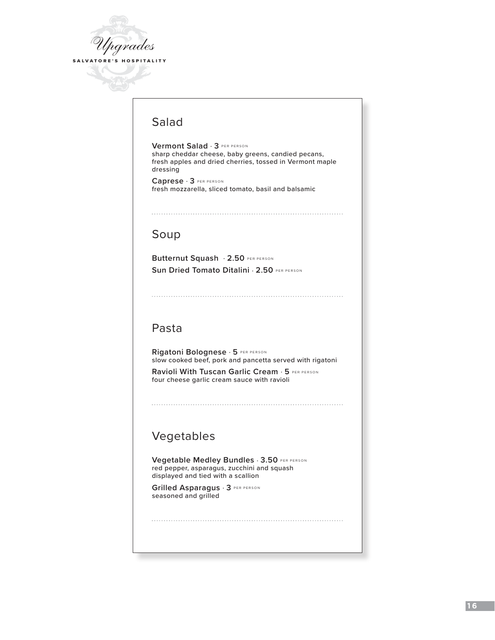

# Salad

**Vermont Salad** . **3** PER PERSON sharp cheddar cheese, baby greens, candied pecans, fresh apples and dried cherries, tossed in Vermont maple dressing

**Caprese** . **3** PER PERSON fresh mozzarella, sliced tomato, basil and balsamic

# Soup

**Butternut Squash** . **2.50** PER PERSON **Sun Dried Tomato Ditalini . 2.50 PER PERSON** 

# Pasta

**Rigatoni Bolognese** . **5** PER PERSON slow cooked beef, pork and pancetta served with rigatoni

**Ravioli With Tuscan Garlic Cream** . **5** PER PERSON four cheese garlic cream sauce with ravioli

# Vegetables

**Vegetable Medley Bundles** . **3.50** PER PERSON red pepper, asparagus, zucchini and squash displayed and tied with a scallion

**Grilled Asparagus** . **3** PER PERSON seasoned and grilled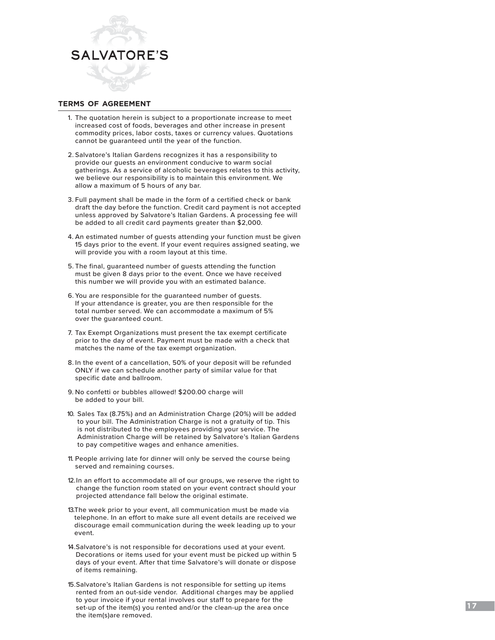

## **terms of agreement**

- 1. The quotation herein is subject to a proportionate increase to meet increased cost of foods, beverages and other increase in present commodity prices, labor costs, taxes or currency values. Quotations cannot be guaranteed until the year of the function.
- 2. Salvatore's Italian Gardens recognizes it has a responsibility to provide our guests an environment conducive to warm social gatherings. As a service of alcoholic beverages relates to this activity, we believe our responsibility is to maintain this environment. We allow a maximum of 5 hours of any bar.
- 3. Full payment shall be made in the form of a certified check or bank draft the day before the function. Credit card payment is not accepted unless approved by Salvatore's Italian Gardens. A processing fee will be added to all credit card payments greater than \$2,000.
- 4. An estimated number of guests attending your function must be given 15 days prior to the event. If your event requires assigned seating, we will provide you with a room layout at this time.
- 5. The final, guaranteed number of guests attending the function must be given 8 days prior to the event. Once we have received this number we will provide you with an estimated balance.
- 6. You are responsible for the guaranteed number of guests. If your attendance is greater, you are then responsible for the total number served. We can accommodate a maximum of 5% over the guaranteed count.
- 7. Tax Exempt Organizations must present the tax exempt certificate prior to the day of event. Payment must be made with a check that matches the name of the tax exempt organization.
- 8. In the event of a cancellation, 50% of your deposit will be refunded ONLY if we can schedule another party of similar value for that specific date and ballroom.
- 9. No confetti or bubbles allowed! \$200.00 charge will be added to your bill.
- 10. Sales Tax (8.75%) and an Administration Charge (20%) will be added to your bill. The Administration Charge is not a gratuity of tip. This is not distributed to the employees providing your service. The Administration Charge will be retained by Salvatore's Italian Gardens to pay competitive wages and enhance amenities.
- 11. People arriving late for dinner will only be served the course being served and remaining courses.
- 12.In an effort to accommodate all of our groups, we reserve the right to change the function room stated on your event contract should your projected attendance fall below the original estimate.
- 13.The week prior to your event, all communication must be made via telephone. In an effort to make sure all event details are received we discourage email communication during the week leading up to your event.
- 14.Salvatore's is not responsible for decorations used at your event. Decorations or items used for your event must be picked up within 5 days of your event. After that time Salvatore's will donate or dispose of items remaining.
- 15.Salvatore's Italian Gardens is not responsible for setting up items rented from an out-side vendor. Additional charges may be applied to your invoice if your rental involves our staff to prepare for the set-up of the item(s) you rented and/or the clean-up the area once the item(s)are removed.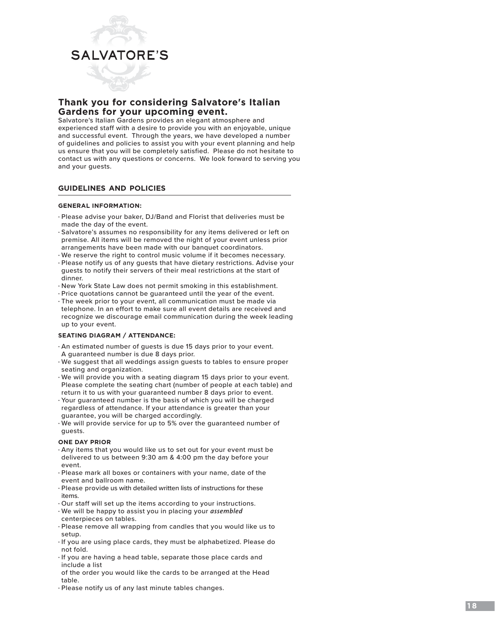

## **Thank you for considering Salvatore's Italian Gardens for your upcoming event.**

Salvatore's Italian Gardens provides an elegant atmosphere and experienced staff with a desire to provide you with an enjoyable, unique and successful event. Through the years, we have developed a number of guidelines and policies to assist you with your event planning and help us ensure that you will be completely satisfied. Please do not hesitate to contact us with any questions or concerns. We look forward to serving you and your guests.

#### **guidelines and policies**

#### **GENERAL INFORMATION:**

- Please advise your baker, DJ/Band and Florist that deliveries must be made the day of the event.
- Salvatore's assumes no responsibility for any items delivered or left on premise. All items will be removed the night of your event unless prior arrangements have been made with our banquet coordinators.
- We reserve the right to control music volume if it becomes necessary.
- Please notify us of any guests that have dietary restrictions. Advise your guests to notify their servers of their meal restrictions at the start of dinner.
- New York State Law does not permit smoking in this establishment.
- Price quotations cannot be guaranteed until the year of the event.
- The week prior to your event, all communication must be made via telephone. In an effort to make sure all event details are received and recognize we discourage email communication during the week leading up to your event.

#### **SEATING DIAGRAM / ATTENDANCE:**

- An estimated number of guests is due 15 days prior to your event. A guaranteed number is due 8 days prior.
- We suggest that all weddings assign guests to tables to ensure proper seating and organization.
- We will provide you with a seating diagram 15 days prior to your event. Please complete the seating chart (number of people at each table) and return it to us with your guaranteed number 8 days prior to event.
- Your guaranteed number is the basis of which you will be charged regardless of attendance. If your attendance is greater than your guarantee, you will be charged accordingly.
- We will provide service for up to 5% over the guaranteed number of guests.

#### **ONE DAY PRIOR**

- Any items that you would like us to set out for your event must be delivered to us between 9:30 am & 4:00 pm the day before your event.
- Please mark all boxes or containers with your name, date of the event and ballroom name.
- Please provide us with detailed written lists of instructions for these items.
- Our staff will set up the items according to your instructions.
- We will be happy to assist you in placing your *assembled* centerpieces on tables.
- Please remove all wrapping from candles that you would like us to setup.
- If you are using place cards, they must be alphabetized. Please do not fold.
- If you are having a head table, separate those place cards and include a list
- of the order you would like the cards to be arranged at the Head table.
- Please notify us of any last minute tables changes.